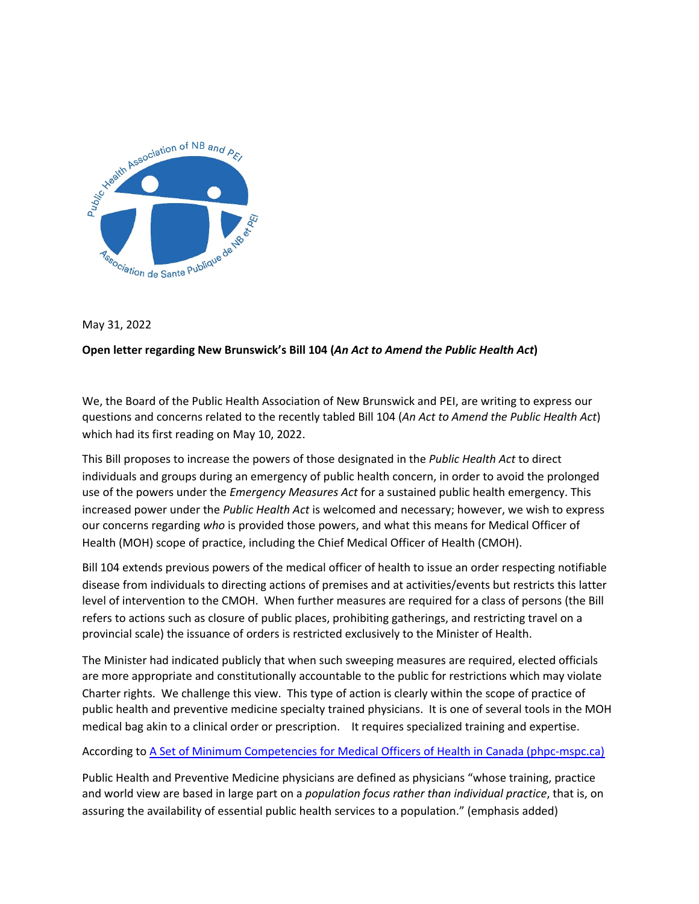

### May 31, 2022

# Open letter regarding New Brunswick's Bill 104 (An Act to Amend the Public Health Act)

We, the Board of the Public Health Association of New Brunswick and PEI, are writing to express our questions and concerns related to the recently tabled Bill 104 (An Act to Amend the Public Health Act) which had its first reading on May 10, 2022.

This Bill proposes to increase the powers of those designated in the *Public Health Act* to direct individuals and groups during an emergency of public health concern, in order to avoid the prolonged use of the powers under the *Emergency Measures Act* for a sustained public health emergency. This increased power under the *Public Health Act* is welcomed and necessary; however, we wish to express our concerns regarding who is provided those powers, and what this means for Medical Officer of Health (MOH) scope of practice, including the Chief Medical Officer of Health (CMOH).

Bill 104 extends previous powers of the medical officer of health to issue an order respecting notifiable disease from individuals to directing actions of premises and at activities/events but restricts this latter level of intervention to the CMOH. When further measures are required for a class of persons (the Bill refers to actions such as closure of public places, prohibiting gatherings, and restricting travel on a provincial scale) the issuance of orders is restricted exclusively to the Minister of Health.

The Minister had indicated publicly that when such sweeping measures are required, elected officials are more appropriate and constitutionally accountable to the public for restrictions which may violate Charter rights. We challenge this view. This type of action is clearly within the scope of practice of public health and preventive medicine specialty trained physicians. It is one of several tools in the MOH medical bag akin to a clinical order or prescription. It requires specialized training and expertise.

### According to A Set of Minimum Competencies for Medical Officers of Health in Canada (phpc-mspc.ca)

Public Health and Preventive Medicine physicians are defined as physicians "whose training, practice and world view are based in large part on a *population focus rather than individual practice*, that is, on assuring the availability of essential public health services to a population." (emphasis added)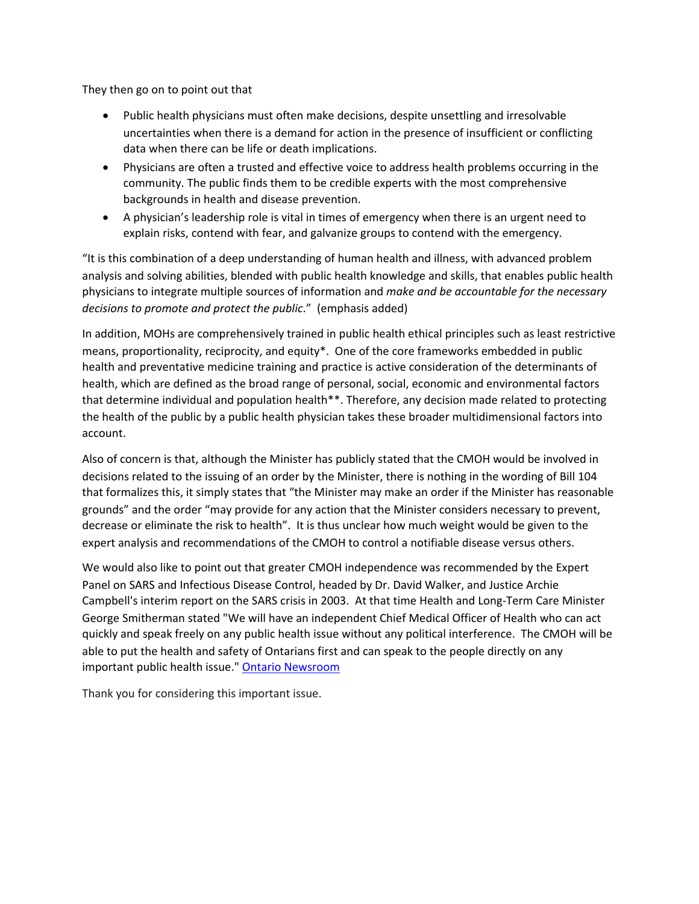They then go on to point out that

- Public health physicians must often make decisions, despite unsettling and irresolvable uncertainties when there is a demand for action in the presence of insufficient or conflicting data when there can be life or death implications.
- Physicians are often a trusted and effective voice to address health problems occurring in the community. The public finds them to be credible experts with the most comprehensive backgrounds in health and disease prevention.
- A physician's leadership role is vital in times of emergency when there is an urgent need to explain risks, contend with fear, and galvanize groups to contend with the emergency.

"It is this combination of a deep understanding of human health and illness, with advanced problem analysis and solving abilities, blended with public health knowledge and skills, that enables public health physicians to integrate multiple sources of information and *make and be accountable for the necessary decisions to promote and protect the public.*" (emphasis added)

In addition, MOHs are comprehensively trained in public health ethical principles such as least restrictive means, proportionality, reciprocity, and equity\*. One of the core frameworks embedded in public health and preventative medicine training and practice is active consideration of the determinants of health, which are defined as the broad range of personal, social, economic and environmental factors that determine individual and population health\*\*. Therefore, any decision made related to protecting the health of the public by a public health physician takes these broader multidimensional factors into account. 

Also of concern is that, although the Minister has publicly stated that the CMOH would be involved in decisions related to the issuing of an order by the Minister, there is nothing in the wording of Bill 104 that formalizes this, it simply states that "the Minister may make an order if the Minister has reasonable grounds" and the order "may provide for any action that the Minister considers necessary to prevent, decrease or eliminate the risk to health". It is thus unclear how much weight would be given to the expert analysis and recommendations of the CMOH to control a notifiable disease versus others.

We would also like to point out that greater CMOH independence was recommended by the Expert Panel on SARS and Infectious Disease Control, headed by Dr. David Walker, and Justice Archie Campbell's interim report on the SARS crisis in 2003. At that time Health and Long-Term Care Minister George Smitherman stated "We will have an independent Chief Medical Officer of Health who can act quickly and speak freely on any public health issue without any political interference. The CMOH will be able to put the health and safety of Ontarians first and can speak to the people directly on any important public health issue." Ontario Newsroom

Thank you for considering this important issue.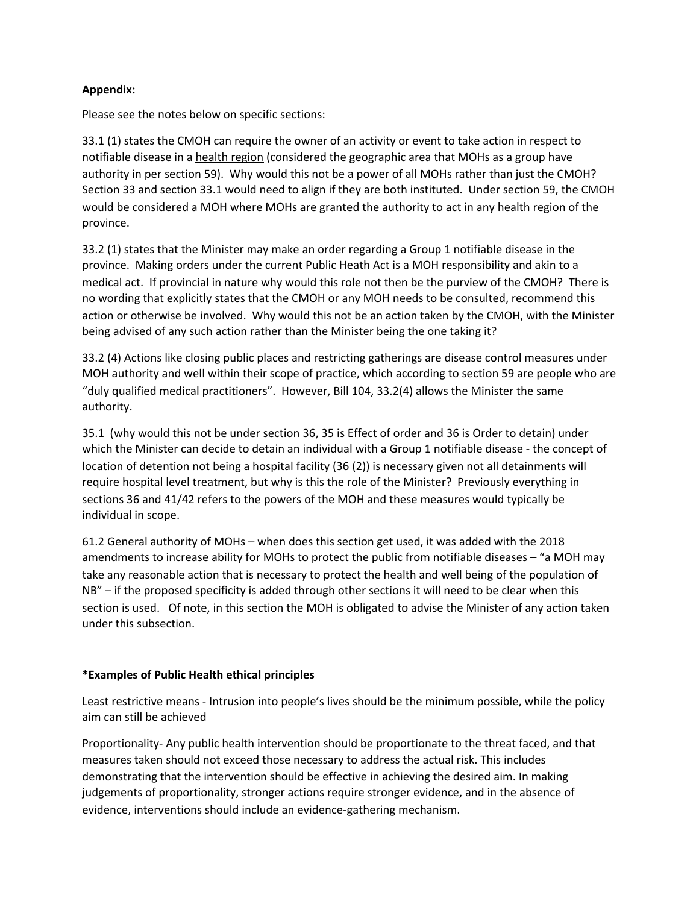# **Appendix:**

Please see the notes below on specific sections:

33.1 (1) states the CMOH can require the owner of an activity or event to take action in respect to notifiable disease in a health region (considered the geographic area that MOHs as a group have authority in per section 59). Why would this not be a power of all MOHs rather than just the CMOH? Section 33 and section 33.1 would need to align if they are both instituted. Under section 59, the CMOH would be considered a MOH where MOHs are granted the authority to act in any health region of the province.

33.2 (1) states that the Minister may make an order regarding a Group 1 notifiable disease in the province. Making orders under the current Public Heath Act is a MOH responsibility and akin to a medical act. If provincial in nature why would this role not then be the purview of the CMOH? There is no wording that explicitly states that the CMOH or any MOH needs to be consulted, recommend this action or otherwise be involved. Why would this not be an action taken by the CMOH, with the Minister being advised of any such action rather than the Minister being the one taking it?

33.2 (4) Actions like closing public places and restricting gatherings are disease control measures under MOH authority and well within their scope of practice, which according to section 59 are people who are "duly qualified medical practitioners". However, Bill 104, 33.2(4) allows the Minister the same authority. 

35.1 (why would this not be under section 36, 35 is Effect of order and 36 is Order to detain) under which the Minister can decide to detain an individual with a Group 1 notifiable disease - the concept of location of detention not being a hospital facility (36 (2)) is necessary given not all detainments will require hospital level treatment, but why is this the role of the Minister? Previously everything in sections 36 and 41/42 refers to the powers of the MOH and these measures would typically be individual in scope.

61.2 General authority of MOHs – when does this section get used, it was added with the 2018 amendments to increase ability for MOHs to protect the public from notifiable diseases – "a MOH may take any reasonable action that is necessary to protect the health and well being of the population of  $NB''$  – if the proposed specificity is added through other sections it will need to be clear when this section is used. Of note, in this section the MOH is obligated to advise the Minister of any action taken under this subsection.

# **\*Examples of Public Health ethical principles**

Least restrictive means - Intrusion into people's lives should be the minimum possible, while the policy aim can still be achieved

Proportionality- Any public health intervention should be proportionate to the threat faced, and that measures taken should not exceed those necessary to address the actual risk. This includes demonstrating that the intervention should be effective in achieving the desired aim. In making judgements of proportionality, stronger actions require stronger evidence, and in the absence of evidence, interventions should include an evidence-gathering mechanism.